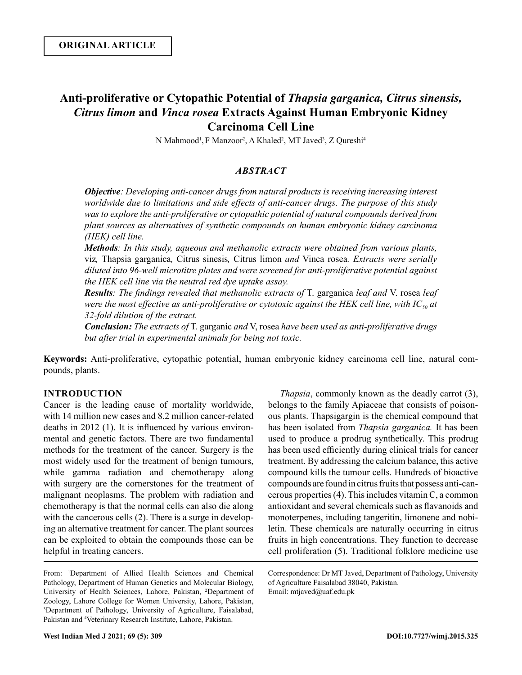# **Anti-proliferative or Cytopathic Potential of** *Thapsia garganica, Citrus sinensis, Citrus limon* **and** *Vinca rosea* **Extracts Against Human Embryonic Kidney Carcinoma Cell Line**

N Mahmood<sup>1</sup>, F Manzoor<sup>2</sup>, A Khaled<sup>2</sup>, MT Javed<sup>3</sup>, Z Qureshi<sup>4</sup>

# *ABSTRACT*

*Objective: Developing anti-cancer drugs from natural products is receiving increasing interest worldwide due to limitations and side effects of anti-cancer drugs. The purpose of this study was to explore the anti-proliferative or cytopathic potential of natural compounds derived from plant sources as alternatives of synthetic compounds on human embryonic kidney carcinoma (HEK) cell line.* 

*Methods: In this study, aqueous and methanolic extracts were obtained from various plants,*  viz*,* Thapsia garganica*,* Citrus sinesis*,* Citrus limon *and* Vinca rosea*. Extracts were serially diluted into 96-well microtitre plates and were screened for anti-proliferative potential against the HEK cell line via the neutral red dye uptake assay.* 

*Results: The findings revealed that methanolic extracts of* T. garganica *leaf and* V. rosea *leaf were the most effective as anti-proliferative or cytotoxic against the HEK cell line, with IC*<sub>50</sub> at *32-fold dilution of the extract.*

*Conclusion: The extracts of* T. garganic *and* V, rosea *have been used as anti-proliferative drugs but after trial in experimental animals for being not toxic.*

**Keywords:** Anti-proliferative, cytopathic potential, human embryonic kidney carcinoma cell line, natural compounds, plants.

# **INTRODUCTION**

Cancer is the leading cause of mortality worldwide, with 14 million new cases and 8.2 million cancer-related deaths in 2012 (1). It is influenced by various environmental and genetic factors. There are two fundamental methods for the treatment of the cancer. Surgery is the most widely used for the treatment of benign tumours, while gamma radiation and chemotherapy along with surgery are the cornerstones for the treatment of malignant neoplasms. The problem with radiation and chemotherapy is that the normal cells can also die along with the cancerous cells (2). There is a surge in developing an alternative treatment for cancer. The plant sources can be exploited to obtain the compounds those can be helpful in treating cancers.

From: 1 Department of Allied Health Sciences and Chemical Pathology, Department of Human Genetics and Molecular Biology, University of Health Sciences, Lahore, Pakistan, <sup>2</sup>Department of Zoology, Lahore College for Women University, Lahore, Pakistan, 3 Department of Pathology, University of Agriculture, Faisalabad, Pakistan and 4 Veterinary Research Institute, Lahore, Pakistan.

*Thapsia*, commonly known as the deadly carrot (3), belongs to the family Apiaceae that consists of poisonous plants. Thapsigargin is the chemical compound that has been isolated from *Thapsia garganica.* It has been used to produce a prodrug synthetically. This prodrug has been used efficiently during clinical trials for cancer treatment. By addressing the calcium balance, this active compound kills the tumour cells. Hundreds of bioactive compounds are found in citrus fruits that possess anti-cancerous properties (4). This includes vitamin C, a common antioxidant and several chemicals such as flavanoids and monoterpenes, including tangeritin, limonene and nobiletin. These chemicals are naturally occurring in citrus fruits in high concentrations. They function to decrease cell proliferation (5). Traditional folklore medicine use

Correspondence: Dr MT Javed, Department of Pathology, University of Agriculture Faisalabad 38040, Pakistan. Email: mtjaved@uaf.edu.pk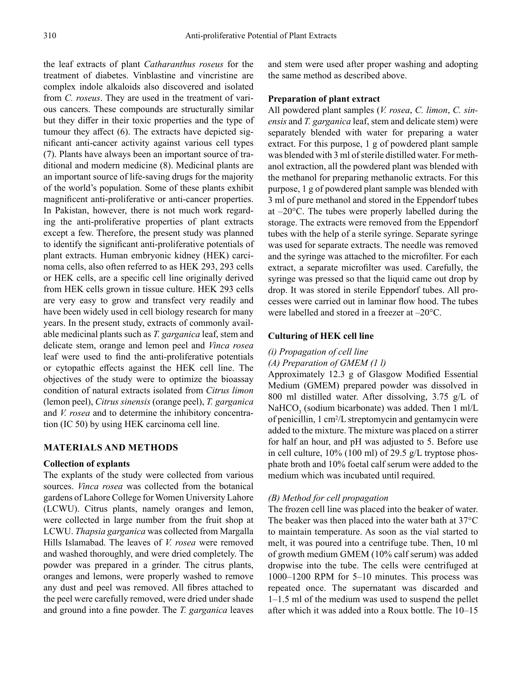the leaf extracts of plant *Catharanthus roseus* for the treatment of diabetes. Vinblastine and vincristine are complex indole alkaloids also discovered and isolated from *C. roseus*. They are used in the treatment of various cancers. These compounds are structurally similar but they differ in their toxic properties and the type of tumour they affect (6). The extracts have depicted significant anti-cancer activity against various cell types (7). Plants have always been an important source of traditional and modern medicine (8). Medicinal plants are an important source of life-saving drugs for the majority of the world's population. Some of these plants exhibit magnificent anti-proliferative or anti-cancer properties. In Pakistan, however, there is not much work regarding the anti-proliferative properties of plant extracts except a few. Therefore, the present study was planned to identify the significant anti-proliferative potentials of plant extracts. Human embryonic kidney (HEK) carcinoma cells, also often referred to as HEK 293, 293 cells or HEK cells, are a specific cell line originally derived from HEK cells grown in tissue culture. HEK 293 cells are very easy to grow and transfect very readily and have been widely used in cell biology research for many years. In the present study, extracts of commonly available medicinal plants such as *T. garganica* leaf, stem and delicate stem, orange and lemon peel and *Vinca rosea* leaf were used to find the anti-proliferative potentials or cytopathic effects against the HEK cell line. The objectives of the study were to optimize the bioassay condition of natural extracts isolated from *Citrus limon*  (lemon peel), *Citrus sinensis* (orange peel), *T. garganica* and *V. rosea* and to determine the inhibitory concentration (IC 50) by using HEK carcinoma cell line.

# **MATERIALS AND METHODS**

# **Collection of explants**

The explants of the study were collected from various sources. *Vinca rosea* was collected from the botanical gardens of Lahore College for Women University Lahore (LCWU). Citrus plants, namely oranges and lemon, were collected in large number from the fruit shop at LCWU. *Thapsia garganica* was collected from Margalla Hills Islamabad. The leaves of *V. rosea* were removed and washed thoroughly, and were dried completely. The powder was prepared in a grinder. The citrus plants, oranges and lemons, were properly washed to remove any dust and peel was removed. All fibres attached to the peel were carefully removed, were dried under shade and ground into a fine powder. The *T. garganica* leaves

and stem were used after proper washing and adopting the same method as described above.

# **Preparation of plant extract**

All powdered plant samples (*V. rosea*, *C. limon*, *C. sinensis* and *T. garganica* leaf, stem and delicate stem) were separately blended with water for preparing a water extract. For this purpose, 1 g of powdered plant sample was blended with 3 ml of sterile distilled water. For methanol extraction, all the powdered plant was blended with the methanol for preparing methanolic extracts. For this purpose, 1 g of powdered plant sample was blended with 3 ml of pure methanol and stored in the Eppendorf tubes at  $-20^{\circ}$ C. The tubes were properly labelled during the storage. The extracts were removed from the Eppendorf tubes with the help of a sterile syringe. Separate syringe was used for separate extracts. The needle was removed and the syringe was attached to the microfilter. For each extract, a separate microfilter was used. Carefully, the syringe was pressed so that the liquid came out drop by drop. It was stored in sterile Eppendorf tubes. All processes were carried out in laminar flow hood. The tubes were labelled and stored in a freezer at –20°C.

# **Culturing of HEK cell line**

# *(i) Propagation of cell line*

# *(A) Preparation of GMEM (1 l)*

Approximately 12.3 g of Glasgow Modified Essential Medium (GMEM) prepared powder was dissolved in 800 ml distilled water. After dissolving, 3.75 g/L of NaHCO<sub>3</sub> (sodium bicarbonate) was added. Then  $1 \text{ ml/L}$ of penicillin, 1 cm2 /L streptomycin and gentamycin were added to the mixture. The mixture was placed on a stirrer for half an hour, and pH was adjusted to 5. Before use in cell culture, 10% (100 ml) of 29.5 g/L tryptose phosphate broth and 10% foetal calf serum were added to the medium which was incubated until required.

# *(B) Method for cell propagation*

The frozen cell line was placed into the beaker of water. The beaker was then placed into the water bath at 37°C to maintain temperature. As soon as the vial started to melt, it was poured into a centrifuge tube. Then, 10 ml of growth medium GMEM (10% calf serum) was added dropwise into the tube. The cells were centrifuged at 1000–1200 RPM for 5–10 minutes. This process was repeated once. The supernatant was discarded and 1–1.5 ml of the medium was used to suspend the pellet after which it was added into a Roux bottle. The 10–15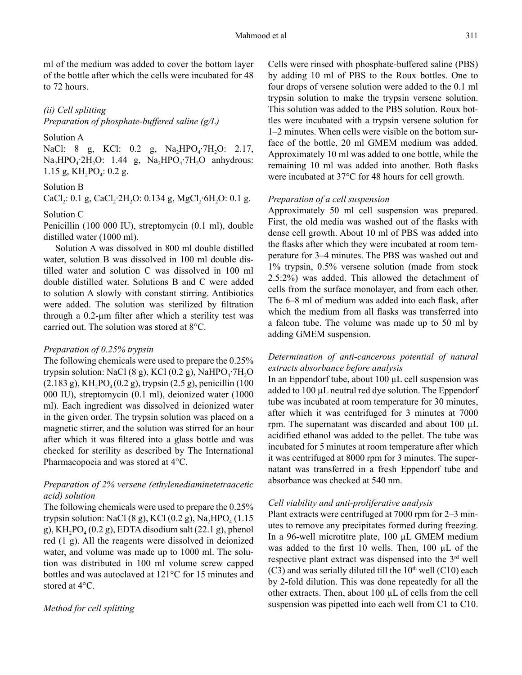ml of the medium was added to cover the bottom layer of the bottle after which the cells were incubated for 48 to 72 hours.

# *(ii) Cell splitting*

*Preparation of phosphate-buffered saline (g/L)*

# Solution A

NaCl: 8 g, KCl: 0.2 g, Na<sub>2</sub>HPO<sub>4</sub>⋅7H<sub>2</sub>O: 2.17, Na<sub>2</sub>HPO<sub>4</sub>⋅2H<sub>2</sub>O: 1.44 g, Na<sub>2</sub>HPO<sub>4</sub>⋅7H<sub>2</sub>O anhydrous: 1.15 g,  $KH_2PO_4$ : 0.2 g.

# Solution B

CaCl<sub>2</sub>: 0.1 g, CaCl<sub>2</sub>⋅2H<sub>2</sub>O: 0.134 g, MgCl<sub>2</sub>⋅6H<sub>2</sub>O: 0.1 g.

### Solution C

Penicillin (100 000 IU), streptomycin (0.1 ml), double distilled water (1000 ml).

Solution A was dissolved in 800 ml double distilled water, solution B was dissolved in 100 ml double distilled water and solution C was dissolved in 100 ml double distilled water. Solutions B and C were added to solution A slowly with constant stirring. Antibiotics were added. The solution was sterilized by filtration through a 0.2-µm filter after which a sterility test was carried out. The solution was stored at 8°C.

#### *Preparation of 0.25% trypsin*

The following chemicals were used to prepare the 0.25% trypsin solution: NaCl (8 g), KCl (0.2 g), NaHPO<sub>4</sub>∙7H<sub>2</sub>O  $(2.183 \text{ g})$ , KH<sub>2</sub>PO<sub>4</sub> $(0.2 \text{ g})$ , trypsin  $(2.5 \text{ g})$ , penicillin  $(100 \text{ g})$ 000 IU), streptomycin (0.1 ml), deionized water (1000 ml). Each ingredient was dissolved in deionized water in the given order. The trypsin solution was placed on a magnetic stirrer, and the solution was stirred for an hour after which it was filtered into a glass bottle and was checked for sterility as described by The International Pharmacopoeia and was stored at 4°C.

# *Preparation of 2% versene (ethylenediaminetetraacetic acid) solution*

The following chemicals were used to prepare the 0.25% trypsin solution: NaCl  $(8 g)$ , KCl  $(0.2 g)$ , Na<sub>2</sub>HPO<sub>4</sub>  $(1.15$ g),  $KH_2PO_4(0.2 g)$ , EDTA disodium salt (22.1 g), phenol red (1 g). All the reagents were dissolved in deionized water, and volume was made up to 1000 ml. The solution was distributed in 100 ml volume screw capped bottles and was autoclaved at 121°C for 15 minutes and stored at 4°C.

# *Method for cell splitting*

Cells were rinsed with phosphate-buffered saline (PBS) by adding 10 ml of PBS to the Roux bottles. One to four drops of versene solution were added to the 0.1 ml trypsin solution to make the trypsin versene solution. This solution was added to the PBS solution. Roux bottles were incubated with a trypsin versene solution for 1–2 minutes. When cells were visible on the bottom surface of the bottle, 20 ml GMEM medium was added. Approximately 10 ml was added to one bottle, while the remaining 10 ml was added into another. Both flasks were incubated at 37°C for 48 hours for cell growth.

### *Preparation of a cell suspension*

Approximately 50 ml cell suspension was prepared. First, the old media was washed out of the flasks with dense cell growth. About 10 ml of PBS was added into the flasks after which they were incubated at room temperature for 3–4 minutes. The PBS was washed out and 1% trypsin, 0.5% versene solution (made from stock 2.5:2%) was added. This allowed the detachment of cells from the surface monolayer, and from each other. The 6–8 ml of medium was added into each flask, after which the medium from all flasks was transferred into a falcon tube. The volume was made up to 50 ml by adding GMEM suspension.

# *Determination of anti-cancerous potential of natural extracts absorbance before analysis*

In an Eppendorf tube, about 100 µL cell suspension was added to  $100 \mu L$  neutral red dye solution. The Eppendorf tube was incubated at room temperature for 30 minutes, after which it was centrifuged for 3 minutes at 7000 rpm. The supernatant was discarded and about 100 µL acidified ethanol was added to the pellet. The tube was incubated for 5 minutes at room temperature after which it was centrifuged at 8000 rpm for 3 minutes. The supernatant was transferred in a fresh Eppendorf tube and absorbance was checked at 540 nm.

### *Cell viability and anti-proliferative analysis*

Plant extracts were centrifuged at 7000 rpm for 2–3 minutes to remove any precipitates formed during freezing. In a 96-well microtitre plate, 100 µL GMEM medium was added to the first 10 wells. Then, 100 µL of the respective plant extract was dispensed into the 3<sup>rd</sup> well  $(C3)$  and was serially diluted till the 10<sup>th</sup> well  $(C10)$  each by 2-fold dilution. This was done repeatedly for all the other extracts. Then, about 100 µL of cells from the cell suspension was pipetted into each well from C1 to C10.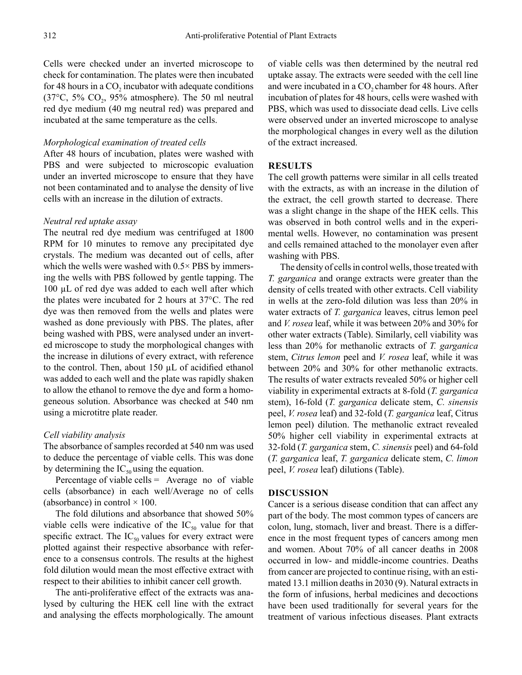Cells were checked under an inverted microscope to check for contamination. The plates were then incubated for 48 hours in a  $CO<sub>2</sub>$  incubator with adequate conditions (37 $\degree$ C, 5% CO<sub>2</sub>, 95% atmosphere). The 50 ml neutral red dye medium (40 mg neutral red) was prepared and incubated at the same temperature as the cells.

#### *Morphological examination of treated cells*

After 48 hours of incubation, plates were washed with PBS and were subjected to microscopic evaluation under an inverted microscope to ensure that they have not been contaminated and to analyse the density of live cells with an increase in the dilution of extracts.

### *Neutral red uptake assay*

The neutral red dye medium was centrifuged at 1800 RPM for 10 minutes to remove any precipitated dye crystals. The medium was decanted out of cells, after which the wells were washed with 0.5× PBS by immersing the wells with PBS followed by gentle tapping. The 100 µL of red dye was added to each well after which the plates were incubated for 2 hours at 37°C. The red dye was then removed from the wells and plates were washed as done previously with PBS. The plates, after being washed with PBS, were analysed under an inverted microscope to study the morphological changes with the increase in dilutions of every extract, with reference to the control. Then, about 150 µL of acidified ethanol was added to each well and the plate was rapidly shaken to allow the ethanol to remove the dye and form a homogeneous solution. Absorbance was checked at 540 nm using a microtitre plate reader.

# *Cell viability analysis*

The absorbance of samples recorded at 540 nm was used to deduce the percentage of viable cells. This was done by determining the  $IC_{50}$  using the equation.

Percentage of viable cells  $=$  Average no of viable cells (absorbance) in each well/Average no of cells (absorbance) in control  $\times$  100.

The fold dilutions and absorbance that showed 50% viable cells were indicative of the  $IC_{50}$  value for that specific extract. The  $IC_{50}$  values for every extract were plotted against their respective absorbance with reference to a consensus controls. The results at the highest fold dilution would mean the most effective extract with respect to their abilities to inhibit cancer cell growth.

The anti-proliferative effect of the extracts was analysed by culturing the HEK cell line with the extract and analysing the effects morphologically. The amount of viable cells was then determined by the neutral red uptake assay. The extracts were seeded with the cell line and were incubated in a CO<sub>2</sub> chamber for 48 hours. After incubation of plates for 48 hours, cells were washed with PBS, which was used to dissociate dead cells. Live cells were observed under an inverted microscope to analyse the morphological changes in every well as the dilution of the extract increased.

#### **RESULTS**

The cell growth patterns were similar in all cells treated with the extracts, as with an increase in the dilution of the extract, the cell growth started to decrease. There was a slight change in the shape of the HEK cells. This was observed in both control wells and in the experimental wells. However, no contamination was present and cells remained attached to the monolayer even after washing with PBS.

The density of cells in control wells, those treated with *T. garganica* and orange extracts were greater than the density of cells treated with other extracts. Cell viability in wells at the zero-fold dilution was less than 20% in water extracts of *T. garganica* leaves, citrus lemon peel and *V. rosea* leaf, while it was between 20% and 30% for other water extracts (Table). Similarly, cell viability was less than 20% for methanolic extracts of *T. garganica* stem, *Citrus lemon* peel and *V. rosea* leaf, while it was between 20% and 30% for other methanolic extracts. The results of water extracts revealed 50% or higher cell viability in experimental extracts at 8-fold (*T. garganica* stem), 16-fold (*T. garganica* delicate stem, *C. sinensis* peel, *V. rosea* leaf) and 32-fold (*T. garganica* leaf, Citrus lemon peel) dilution. The methanolic extract revealed 50% higher cell viability in experimental extracts at 32-fold (*T. garganica* stem, *C. sinensis* peel) and 64-fold (*T. garganica* leaf, *T. garganica* delicate stem, *C. limon* peel, *V. rosea* leaf) dilutions (Table).

### **DISCUSSION**

Cancer is a serious disease condition that can affect any part of the body. The most common types of cancers are colon, lung, stomach, liver and breast. There is a difference in the most frequent types of cancers among men and women. About 70% of all cancer deaths in 2008 occurred in low- and middle-income countries. Deaths from cancer are projected to continue rising, with an estimated 13.1 million deaths in 2030 (9). Natural extracts in the form of infusions, herbal medicines and decoctions have been used traditionally for several years for the treatment of various infectious diseases. Plant extracts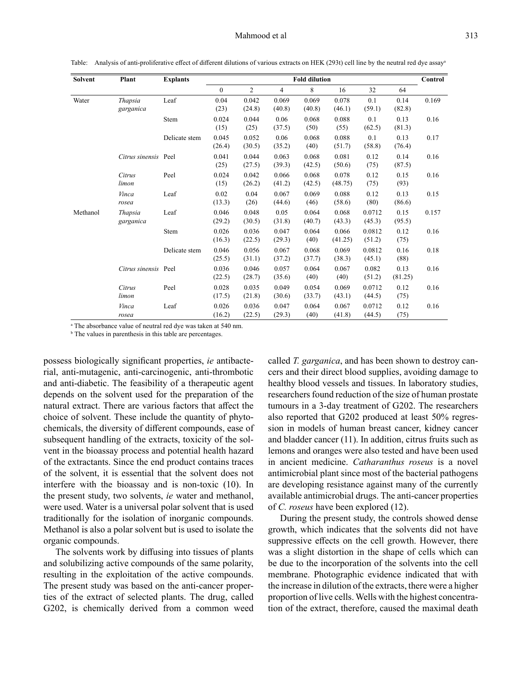| <b>Solvent</b> | Plant                       | <b>Explants</b> | <b>Fold dilution</b> |                 |                 |                 |                  |                  |                 | Control |
|----------------|-----------------------------|-----------------|----------------------|-----------------|-----------------|-----------------|------------------|------------------|-----------------|---------|
|                |                             |                 | $\overline{0}$       | $\overline{c}$  | $\overline{4}$  | 8               | 16               | 32               | 64              |         |
| Water          | Thapsia<br>garganica        | Leaf            | 0.04<br>(23)         | 0.042<br>(24.8) | 0.069<br>(40.8) | 0.069<br>(40.8) | 0.078<br>(46.1)  | 0.1<br>(59.1)    | 0.14<br>(82.8)  | 0.169   |
|                |                             | Stem            | 0.024<br>(15)        | 0.044<br>(25)   | 0.06<br>(37.5)  | 0.068<br>(50)   | 0.088<br>(55)    | 0.1<br>(62.5)    | 0.13<br>(81.3)  | 0.16    |
|                |                             | Delicate stem   | 0.045<br>(26.4)      | 0.052<br>(30.5) | 0.06<br>(35.2)  | 0.068<br>(40)   | 0.088<br>(51.7)  | 0.1<br>(58.8)    | 0.13<br>(76.4)  | 0.17    |
|                | Citrus sinensis Peel        |                 | 0.041<br>(25)        | 0.044<br>(27.5) | 0.063<br>(39.3) | 0.068<br>(42.5) | 0.081<br>(50.6)  | 0.12<br>(75)     | 0.14<br>(87.5)  | 0.16    |
|                | Citrus<br>limon             | Peel            | 0.024<br>(15)        | 0.042<br>(26.2) | 0.066<br>(41.2) | 0.068<br>(42.5) | 0.078<br>(48.75) | 0.12<br>(75)     | 0.15<br>(93)    | 0.16    |
|                | Vinca<br>rosea              | Leaf            | 0.02<br>(13.3)       | 0.04<br>(26)    | 0.067<br>(44.6) | 0.069<br>(46)   | 0.088<br>(58.6)  | 0.12<br>(80)     | 0.13<br>(86.6)  | 0.15    |
| Methanol       | <b>Thapsia</b><br>garganica | Leaf            | 0.046<br>(29.2)      | 0.048<br>(30.5) | 0.05<br>(31.8)  | 0.064<br>(40.7) | 0.068<br>(43.3)  | 0.0712<br>(45.3) | 0.15<br>(95.5)  | 0.157   |
|                |                             | Stem            | 0.026<br>(16.3)      | 0.036<br>(22.5) | 0.047<br>(29.3) | 0.064<br>(40)   | 0.066<br>(41.25) | 0.0812<br>(51.2) | 0.12<br>(75)    | 0.16    |
|                |                             | Delicate stem   | 0.046<br>(25.5)      | 0.056<br>(31.1) | 0.067<br>(37.2) | 0.068<br>(37.7) | 0.069<br>(38.3)  | 0.0812<br>(45.1) | 0.16<br>(88)    | 0.18    |
|                | Citrus sinensis Peel        |                 | 0.036<br>(22.5)      | 0.046<br>(28.7) | 0.057<br>(35.6) | 0.064<br>(40)   | 0.067<br>(40)    | 0.082<br>(51.2)  | 0.13<br>(81.25) | 0.16    |
|                | Citrus<br>limon             | Peel            | 0.028<br>(17.5)      | 0.035<br>(21.8) | 0.049<br>(30.6) | 0.054<br>(33.7) | 0.069<br>(43.1)  | 0.0712<br>(44.5) | 0.12<br>(75)    | 0.16    |
|                | Vinca<br>rosea              | Leaf            | 0.026<br>(16.2)      | 0.036<br>(22.5) | 0.047<br>(29.3) | 0.064<br>(40)   | 0.067<br>(41.8)  | 0.0712<br>(44.5) | 0.12<br>(75)    | 0.16    |

Table:Analysis of anti-proliferative effect of different dilutions of various extracts on HEK (293t) cell line by the neutral red dye assay<sup>a</sup>

<sup>a</sup> The absorbance value of neutral red dye was taken at 540 nm.

<sup>b</sup> The values in parenthesis in this table are percentages.

possess biologically significant properties, *ie* antibacterial, anti-mutagenic, anti-carcinogenic, anti-thrombotic and anti-diabetic. The feasibility of a therapeutic agent depends on the solvent used for the preparation of the natural extract. There are various factors that affect the choice of solvent. These include the quantity of phytochemicals, the diversity of different compounds, ease of subsequent handling of the extracts, toxicity of the solvent in the bioassay process and potential health hazard of the extractants. Since the end product contains traces of the solvent, it is essential that the solvent does not interfere with the bioassay and is non-toxic (10). In the present study, two solvents, *ie* water and methanol, were used. Water is a universal polar solvent that is used traditionally for the isolation of inorganic compounds. Methanol is also a polar solvent but is used to isolate the organic compounds.

The solvents work by diffusing into tissues of plants and solubilizing active compounds of the same polarity, resulting in the exploitation of the active compounds. The present study was based on the anti-cancer properties of the extract of selected plants. The drug, called G202, is chemically derived from a common weed called *T. garganica*, and has been shown to destroy cancers and their direct blood supplies, avoiding damage to healthy blood vessels and tissues. In laboratory studies, researchers found reduction of the size of human prostate tumours in a 3-day treatment of G202. The researchers also reported that G202 produced at least 50% regression in models of human breast cancer, kidney cancer and bladder cancer (11). In addition, citrus fruits such as lemons and oranges were also tested and have been used in ancient medicine. *Catharanthus roseus* is a novel antimicrobial plant since most of the bacterial pathogens are developing resistance against many of the currently available antimicrobial drugs. The anti-cancer properties of *C. roseus* have been explored (12).

During the present study, the controls showed dense growth, which indicates that the solvents did not have suppressive effects on the cell growth. However, there was a slight distortion in the shape of cells which can be due to the incorporation of the solvents into the cell membrane. Photographic evidence indicated that with the increase in dilution of the extracts, there were a higher proportion of live cells. Wells with the highest concentration of the extract, therefore, caused the maximal death